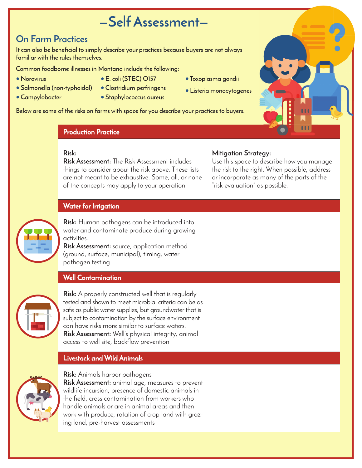# **—Self Assessment—**

## **On Farm Practices**

It can also be beneficial to simply describe your practices because buyers are not always **familiar with the rules themselves.** 

**• E. coli (STEC) O157**

**Common foodborne illnesses in Montana include the following:**

- **• Norovirus**
- **• Salmonella (non-typhoidal)**
- **• Campylobacter**
- **• Clostridium perfringens • Staphylococcus aureus**
- **• Toxoplasma gondii**
- **• Listeria monocytogenes**

**Below are some of the risks on farms with space for you describe your practices to buyers.** 

#### **Production Practice**

#### **Risk:**

**Risk Assessment:** The Risk Assessment includes things to consider about the risk above. These lists are not meant to be exhaustive. Some, all, or none of the concepts may apply to your operation

### **Mitigation Strategy:**

Use this space to describe how you manage the risk to the right. When possible, address or incorporate as many of the parts of the "risk evaluation" as possible.

| <b>Water for Irrigation</b>                                                                                                                                                                                                                                                                                                                                                                     |  |
|-------------------------------------------------------------------------------------------------------------------------------------------------------------------------------------------------------------------------------------------------------------------------------------------------------------------------------------------------------------------------------------------------|--|
| <b>Risk:</b> Human pathogens can be introduced into<br>water and contaminate produce during growing<br>activities.<br><b>Risk Assessment:</b> source, application method<br>(ground, surface, municipal), timing, water<br>pathogen testing                                                                                                                                                     |  |
| <b>Well Contamination</b>                                                                                                                                                                                                                                                                                                                                                                       |  |
| <b>Risk:</b> A properly constructed well that is regularly<br>tested and shown to meet microbial criteria can be as<br>safe as public water supplies, but groundwater that is<br>subject to contamination by the surface environment<br>can have risks more similar to surface waters.<br><b>Risk Assessment:</b> Well's physical integrity, animal<br>access to well site, backflow prevention |  |
| <b>Livestock and Wild Animals</b>                                                                                                                                                                                                                                                                                                                                                               |  |
| <b>Risk:</b> Animals harbor pathogens                                                                                                                                                                                                                                                                                                                                                           |  |



**Risk Assessment:** animal age, measures to prevent wildlife incursion, presence of domestic animals in the field, cross contamination from workers who handle animals or are in animal areas and then work with produce, rotation of crop land with grazing land, pre-harvest assessments

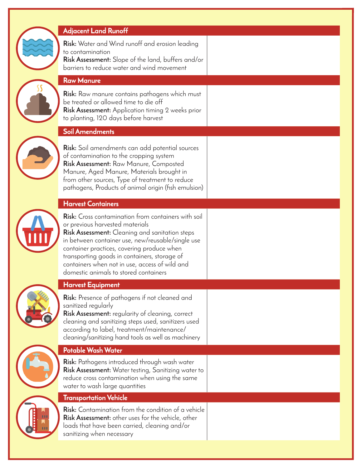| <b>Adjacent Land Runoff</b>                                                                                                                                                                                                                                                                                                                                                                          |  |
|------------------------------------------------------------------------------------------------------------------------------------------------------------------------------------------------------------------------------------------------------------------------------------------------------------------------------------------------------------------------------------------------------|--|
| <b>Risk:</b> Water and Wind runoff and erosion leading<br>to contamination<br>Risk Assessment: Slope of the land, buffers and/or<br>barriers to reduce water and wind movement                                                                                                                                                                                                                       |  |
| <b>Raw Manure</b>                                                                                                                                                                                                                                                                                                                                                                                    |  |
| <b>Risk:</b> Raw manure contains pathogens which must<br>be treated or allowed time to die off<br>Risk Assessment: Application timing 2 weeks prior<br>to planting, 120 days before harvest                                                                                                                                                                                                          |  |
| <b>Soil Amendments</b>                                                                                                                                                                                                                                                                                                                                                                               |  |
| Risk: Soil amendments can add potential sources<br>of contamination to the cropping system<br>Risk Assessment: Raw Manure, Composted<br>Manure, Aged Manure, Materials brought in<br>from other sources, Type of treatment to reduce<br>pathogens, Products of animal origin (fish emulsion)                                                                                                         |  |
| <b>Harvest Containers</b>                                                                                                                                                                                                                                                                                                                                                                            |  |
| <b>Risk:</b> Cross contamination from containers with soil<br>or previous harvested materials<br><b>Risk Assessment:</b> Cleaning and sanitation steps<br>in between container use, new/reusable/single use<br>container practices, covering produce when<br>transporting goods in containers, storage of<br>containers when not in use, access of wild and<br>domestic animals to stored containers |  |
| <b>Harvest Equipment</b>                                                                                                                                                                                                                                                                                                                                                                             |  |
| <b>Risk:</b> Presence of pathogens if not cleaned and<br>sanitized regularly<br>Risk Assessment: regularity of cleaning, correct<br>cleaning and sanitizing steps used, sanitizers used<br>according to label, treatment/maintenance/<br>cleaning/sanitizing hand tools as well as machinery                                                                                                         |  |
| Potable Wash Water                                                                                                                                                                                                                                                                                                                                                                                   |  |
| <b>Risk:</b> Pathogens introduced through wash water<br><b>Risk Assessment:</b> Water testing, Sanitizing water to<br>reduce cross contamination when using the same<br>water to wash large quantities                                                                                                                                                                                               |  |
| <b>Transportation Vehicle</b>                                                                                                                                                                                                                                                                                                                                                                        |  |
| Risk: Contamination from the condition of a vehicle<br>Risk Assessment: other uses for the vehicle, other<br>loads that have been carried, cleaning and/or<br>sanitizing when necessary                                                                                                                                                                                                              |  |
|                                                                                                                                                                                                                                                                                                                                                                                                      |  |